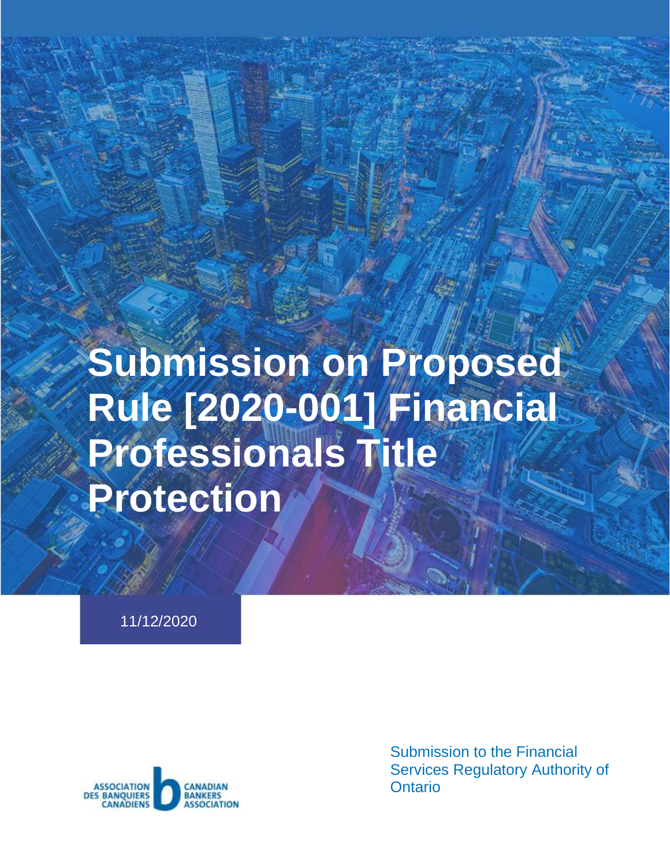# **Submission on Proposed Rule [2020-001] Financial Professionals Title Protection**

11/12/2020



Submission to the Financial Services Regulatory Authority of **Ontario**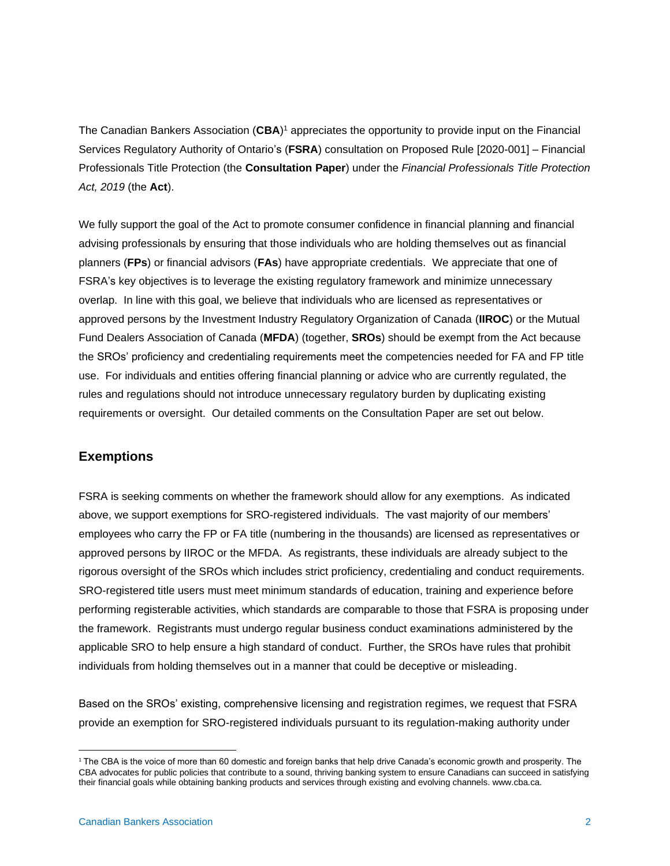The Canadian Bankers Association (**CBA**) <sup>1</sup> appreciates the opportunity to provide input on the Financial Services Regulatory Authority of Ontario's (**FSRA**) consultation on Proposed Rule [2020-001] – Financial Professionals Title Protection (the **Consultation Paper**) under the *Financial Professionals Title Protection Act, 2019* (the **Act**).

We fully support the goal of the Act to promote consumer confidence in financial planning and financial advising professionals by ensuring that those individuals who are holding themselves out as financial planners (**FPs**) or financial advisors (**FAs**) have appropriate credentials. We appreciate that one of FSRA's key objectives is to leverage the existing regulatory framework and minimize unnecessary overlap. In line with this goal, we believe that individuals who are licensed as representatives or approved persons by the Investment Industry Regulatory Organization of Canada (**IIROC**) or the Mutual Fund Dealers Association of Canada (**MFDA**) (together, **SROs**) should be exempt from the Act because the SROs' proficiency and credentialing requirements meet the competencies needed for FA and FP title use. For individuals and entities offering financial planning or advice who are currently regulated, the rules and regulations should not introduce unnecessary regulatory burden by duplicating existing requirements or oversight. Our detailed comments on the Consultation Paper are set out below.

## **Exemptions**

FSRA is seeking comments on whether the framework should allow for any exemptions. As indicated above, we support exemptions for SRO-registered individuals. The vast majority of our members' employees who carry the FP or FA title (numbering in the thousands) are licensed as representatives or approved persons by IIROC or the MFDA. As registrants, these individuals are already subject to the rigorous oversight of the SROs which includes strict proficiency, credentialing and conduct requirements. SRO-registered title users must meet minimum standards of education, training and experience before performing registerable activities, which standards are comparable to those that FSRA is proposing under the framework. Registrants must undergo regular business conduct examinations administered by the applicable SRO to help ensure a high standard of conduct. Further, the SROs have rules that prohibit individuals from holding themselves out in a manner that could be deceptive or misleading.

Based on the SROs' existing, comprehensive licensing and registration regimes, we request that FSRA provide an exemption for SRO-registered individuals pursuant to its regulation-making authority under

<sup>&</sup>lt;sup>1</sup> The CBA is the voice of more than 60 domestic and foreign banks that help drive Canada's economic growth and prosperity. The CBA advocates for public policies that contribute to a sound, thriving banking system to ensure Canadians can succeed in satisfying their financial goals while obtaining banking products and services through existing and evolving channels. www.cba.ca.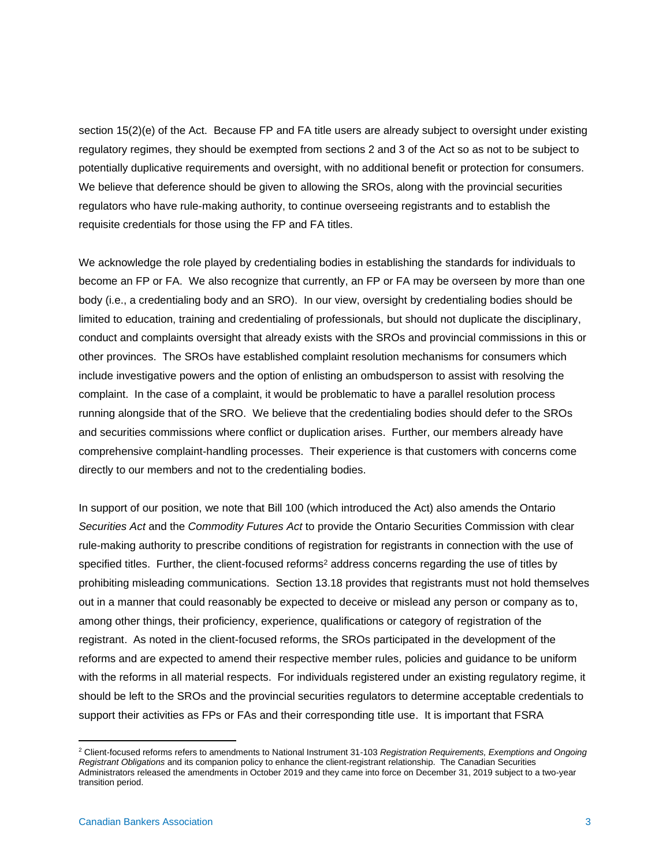section 15(2)(e) of the Act. Because FP and FA title users are already subject to oversight under existing regulatory regimes, they should be exempted from sections 2 and 3 of the Act so as not to be subject to potentially duplicative requirements and oversight, with no additional benefit or protection for consumers. We believe that deference should be given to allowing the SROs, along with the provincial securities regulators who have rule-making authority, to continue overseeing registrants and to establish the requisite credentials for those using the FP and FA titles.

We acknowledge the role played by credentialing bodies in establishing the standards for individuals to become an FP or FA. We also recognize that currently, an FP or FA may be overseen by more than one body (i.e., a credentialing body and an SRO). In our view, oversight by credentialing bodies should be limited to education, training and credentialing of professionals, but should not duplicate the disciplinary, conduct and complaints oversight that already exists with the SROs and provincial commissions in this or other provinces. The SROs have established complaint resolution mechanisms for consumers which include investigative powers and the option of enlisting an ombudsperson to assist with resolving the complaint. In the case of a complaint, it would be problematic to have a parallel resolution process running alongside that of the SRO. We believe that the credentialing bodies should defer to the SROs and securities commissions where conflict or duplication arises. Further, our members already have comprehensive complaint-handling processes. Their experience is that customers with concerns come directly to our members and not to the credentialing bodies.

In support of our position, we note that Bill 100 (which introduced the Act) also amends the Ontario *Securities Act* and the *Commodity Futures Act* to provide the Ontario Securities Commission with clear rule-making authority to prescribe conditions of registration for registrants in connection with the use of specified titles. Further, the client-focused reforms<sup>2</sup> address concerns regarding the use of titles by prohibiting misleading communications. Section 13.18 provides that registrants must not hold themselves out in a manner that could reasonably be expected to deceive or mislead any person or company as to, among other things, their proficiency, experience, qualifications or category of registration of the registrant. As noted in the client-focused reforms, the SROs participated in the development of the reforms and are expected to amend their respective member rules, policies and guidance to be uniform with the reforms in all material respects. For individuals registered under an existing regulatory regime, it should be left to the SROs and the provincial securities regulators to determine acceptable credentials to support their activities as FPs or FAs and their corresponding title use. It is important that FSRA

<sup>2</sup> Client-focused reforms refers to amendments to National Instrument 31-103 *Registration Requirements, Exemptions and Ongoing Registrant Obligations* and its companion policy to enhance the client-registrant relationship. The Canadian Securities Administrators released the amendments in October 2019 and they came into force on December 31, 2019 subject to a two-year transition period.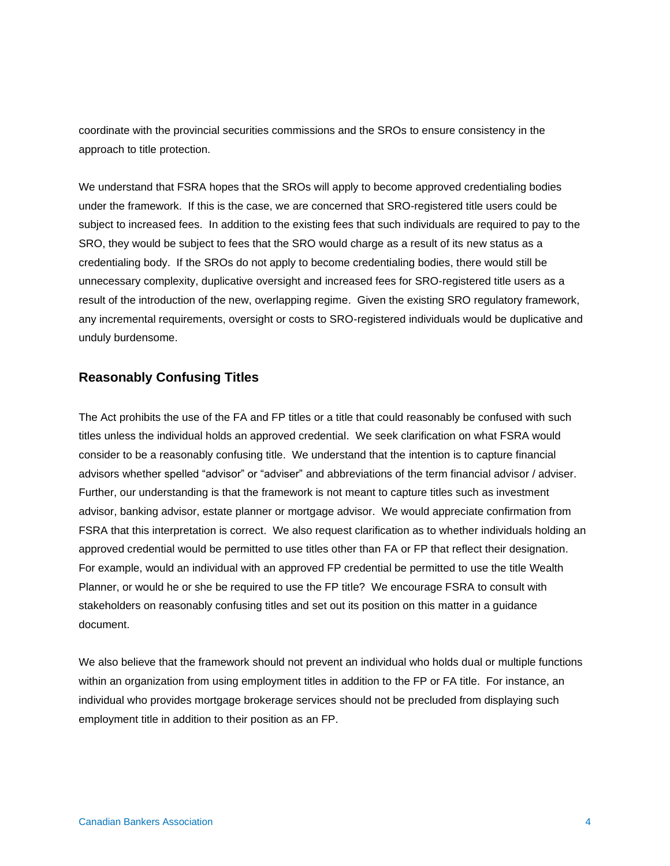coordinate with the provincial securities commissions and the SROs to ensure consistency in the approach to title protection.

We understand that FSRA hopes that the SROs will apply to become approved credentialing bodies under the framework. If this is the case, we are concerned that SRO-registered title users could be subject to increased fees. In addition to the existing fees that such individuals are required to pay to the SRO, they would be subject to fees that the SRO would charge as a result of its new status as a credentialing body. If the SROs do not apply to become credentialing bodies, there would still be unnecessary complexity, duplicative oversight and increased fees for SRO-registered title users as a result of the introduction of the new, overlapping regime. Given the existing SRO regulatory framework, any incremental requirements, oversight or costs to SRO-registered individuals would be duplicative and unduly burdensome.

# **Reasonably Confusing Titles**

The Act prohibits the use of the FA and FP titles or a title that could reasonably be confused with such titles unless the individual holds an approved credential. We seek clarification on what FSRA would consider to be a reasonably confusing title. We understand that the intention is to capture financial advisors whether spelled "advisor" or "adviser" and abbreviations of the term financial advisor / adviser. Further, our understanding is that the framework is not meant to capture titles such as investment advisor, banking advisor, estate planner or mortgage advisor. We would appreciate confirmation from FSRA that this interpretation is correct. We also request clarification as to whether individuals holding an approved credential would be permitted to use titles other than FA or FP that reflect their designation. For example, would an individual with an approved FP credential be permitted to use the title Wealth Planner, or would he or she be required to use the FP title? We encourage FSRA to consult with stakeholders on reasonably confusing titles and set out its position on this matter in a guidance document.

We also believe that the framework should not prevent an individual who holds dual or multiple functions within an organization from using employment titles in addition to the FP or FA title. For instance, an individual who provides mortgage brokerage services should not be precluded from displaying such employment title in addition to their position as an FP.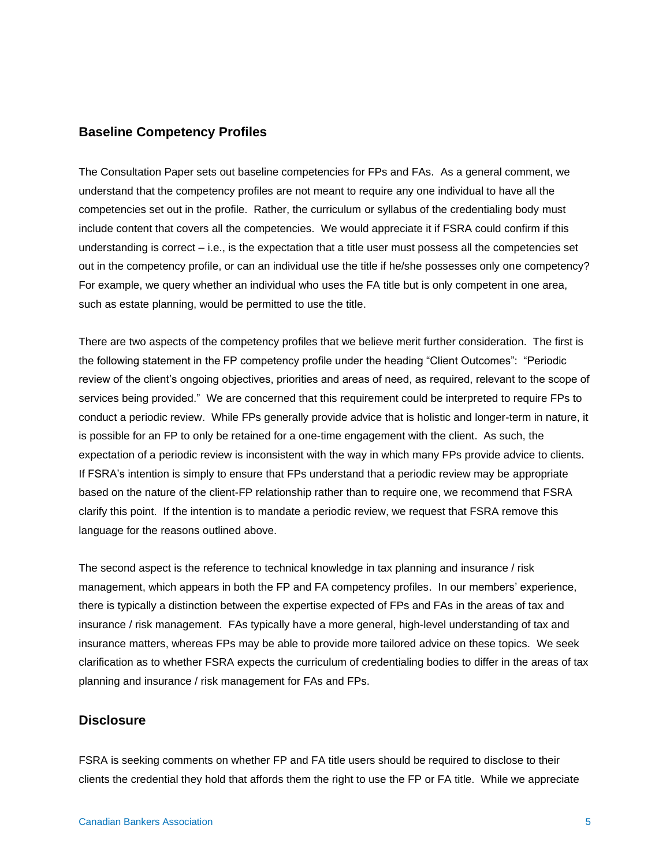# **Baseline Competency Profiles**

The Consultation Paper sets out baseline competencies for FPs and FAs. As a general comment, we understand that the competency profiles are not meant to require any one individual to have all the competencies set out in the profile. Rather, the curriculum or syllabus of the credentialing body must include content that covers all the competencies. We would appreciate it if FSRA could confirm if this understanding is correct – i.e., is the expectation that a title user must possess all the competencies set out in the competency profile, or can an individual use the title if he/she possesses only one competency? For example, we query whether an individual who uses the FA title but is only competent in one area, such as estate planning, would be permitted to use the title.

There are two aspects of the competency profiles that we believe merit further consideration. The first is the following statement in the FP competency profile under the heading "Client Outcomes": "Periodic review of the client's ongoing objectives, priorities and areas of need, as required, relevant to the scope of services being provided." We are concerned that this requirement could be interpreted to require FPs to conduct a periodic review. While FPs generally provide advice that is holistic and longer-term in nature, it is possible for an FP to only be retained for a one-time engagement with the client. As such, the expectation of a periodic review is inconsistent with the way in which many FPs provide advice to clients. If FSRA's intention is simply to ensure that FPs understand that a periodic review may be appropriate based on the nature of the client-FP relationship rather than to require one, we recommend that FSRA clarify this point. If the intention is to mandate a periodic review, we request that FSRA remove this language for the reasons outlined above.

The second aspect is the reference to technical knowledge in tax planning and insurance / risk management, which appears in both the FP and FA competency profiles. In our members' experience, there is typically a distinction between the expertise expected of FPs and FAs in the areas of tax and insurance / risk management. FAs typically have a more general, high-level understanding of tax and insurance matters, whereas FPs may be able to provide more tailored advice on these topics. We seek clarification as to whether FSRA expects the curriculum of credentialing bodies to differ in the areas of tax planning and insurance / risk management for FAs and FPs.

# **Disclosure**

FSRA is seeking comments on whether FP and FA title users should be required to disclose to their clients the credential they hold that affords them the right to use the FP or FA title. While we appreciate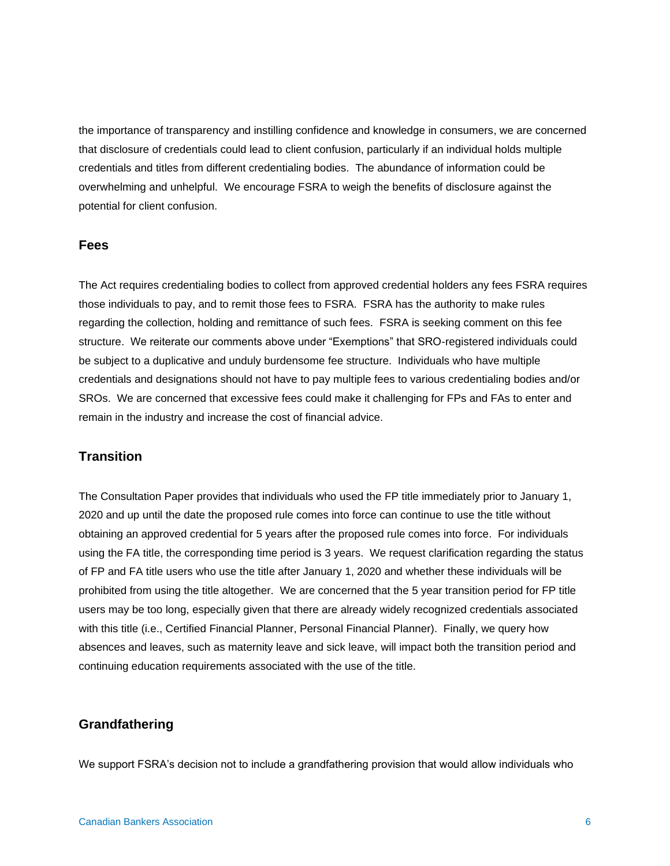the importance of transparency and instilling confidence and knowledge in consumers, we are concerned that disclosure of credentials could lead to client confusion, particularly if an individual holds multiple credentials and titles from different credentialing bodies. The abundance of information could be overwhelming and unhelpful. We encourage FSRA to weigh the benefits of disclosure against the potential for client confusion.

#### **Fees**

The Act requires credentialing bodies to collect from approved credential holders any fees FSRA requires those individuals to pay, and to remit those fees to FSRA. FSRA has the authority to make rules regarding the collection, holding and remittance of such fees. FSRA is seeking comment on this fee structure. We reiterate our comments above under "Exemptions" that SRO-registered individuals could be subject to a duplicative and unduly burdensome fee structure. Individuals who have multiple credentials and designations should not have to pay multiple fees to various credentialing bodies and/or SROs. We are concerned that excessive fees could make it challenging for FPs and FAs to enter and remain in the industry and increase the cost of financial advice.

# **Transition**

The Consultation Paper provides that individuals who used the FP title immediately prior to January 1, 2020 and up until the date the proposed rule comes into force can continue to use the title without obtaining an approved credential for 5 years after the proposed rule comes into force. For individuals using the FA title, the corresponding time period is 3 years. We request clarification regarding the status of FP and FA title users who use the title after January 1, 2020 and whether these individuals will be prohibited from using the title altogether. We are concerned that the 5 year transition period for FP title users may be too long, especially given that there are already widely recognized credentials associated with this title (i.e., Certified Financial Planner, Personal Financial Planner). Finally, we query how absences and leaves, such as maternity leave and sick leave, will impact both the transition period and continuing education requirements associated with the use of the title.

## **Grandfathering**

We support FSRA's decision not to include a grandfathering provision that would allow individuals who